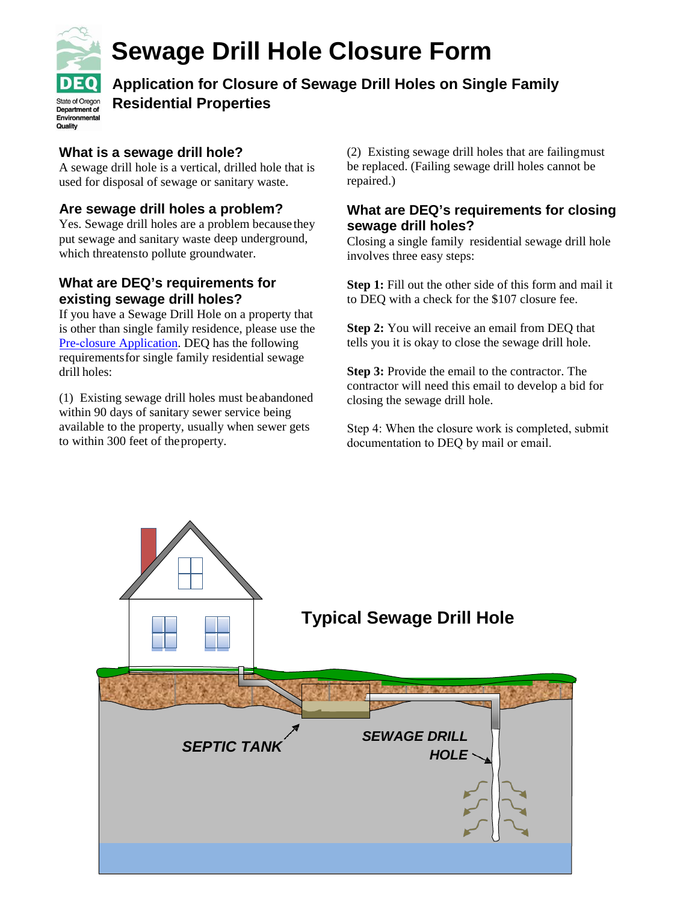

Environmental Quality

# **Sewage Drill Hole Closure Form**

**Application for Closure of Sewage Drill Holes on Single Family Residential Properties** 

### **What is a sewage drill hole?**

A sewage drill hole is a vertical, drilled hole that is used for disposal of sewage or sanitary waste.

### **Are sewage drill holes a problem?**

Yes. Sewage drill holes are a problem because they put sewage and sanitary waste deep underground, which threatensto pollute groundwater.

### **What are DEQ's requirements for existing sewage drill holes?**

If you have a Sewage Drill Hole on a property that is other than single family residence, please use the Pre-closure Application. DEQ has the following [requirementsfor](http://www.oregon.gov/deq/FilterDocs/preclosure039.pdf) single family residential sewage drill holes:

(1) Existing sewage drill holes must beabandoned within 90 days of sanitary sewer service being available to the property, usually when sewer gets to within 300 feet of theproperty.

(2) Existing sewage drill holes that are failingmust be replaced. (Failing sewage drill holes cannot be repaired.)

### **What are DEQ's requirements for closing sewage drill holes?**

Closing a single family residential sewage drill hole involves three easy steps:

**Step 1:** Fill out the other side of this form and mail it to DEQ with a check for the \$107 closure fee.

**Step 2:** You will receive an email from DEQ that tells you it is okay to close the sewage drill hole.

**Step 3:** Provide the email to the contractor. The contractor will need this email to develop a bid for closing the sewage drill hole.

Step 4: When the closure work is completed, submit documentation to DEQ by mail or email.